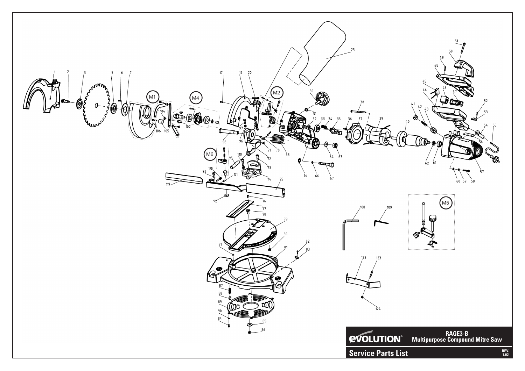